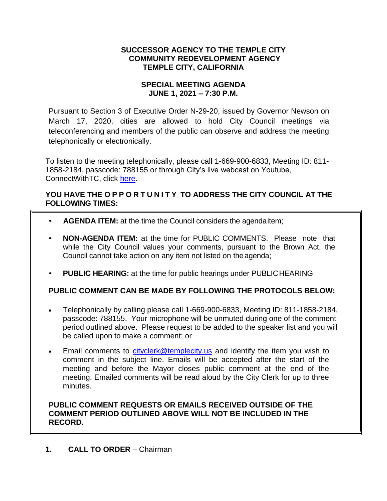### **SUCCESSOR AGENCY TO THE TEMPLE CITY COMMUNITY REDEVELOPMENT AGENCY TEMPLE CITY, CALIFORNIA**

### **SPECIAL MEETING AGENDA JUNE 1, 2021 – 7:30 P.M.**

Pursuant to Section 3 of Executive Order N-29-20, issued by Governor Newson on March 17, 2020, cities are allowed to hold City Council meetings via teleconferencing and members of the public can observe and address the meeting telephonically or electronically.

To listen to the meeting telephonically, please call 1-669-900-6833, Meeting ID: 811- 1858-2184, passcode: 788155 or through City's live webcast on Youtube, ConnectWithTC, click [here.](https://www.ci.temple-city.ca.us/516/Meeting-Webcast)

## **YOU HAVE THE O P P O R T U N I T Y TO ADDRESS THE CITY COUNCIL AT THE FOLLOWING TIMES:**

- **AGENDA ITEM:** at the time the Council considers the agendaitem;
- **NON-AGENDA ITEM:** at the time for PUBLIC COMMENTS. Please note that while the City Council values your comments, pursuant to the Brown Act, the Council cannot take action on any item not listed on the agenda;
- **PUBLIC HEARING:** at the time for public hearings under PUBLICHEARING

# **PUBLIC COMMENT CAN BE MADE BY FOLLOWING THE PROTOCOLS BELOW:**

- Telephonically by calling please call 1-669-900-6833, Meeting ID: 811-1858-2184, passcode: 788155. Your microphone will be unmuted during one of the comment period outlined above. Please request to be added to the speaker list and you will be called upon to make a comment; or
- **Email comments to [cityclerk@templecity.us](mailto:cityclerk@templecity.us) and identify the item you wish to** comment in the subject line. Emails will be accepted after the start of the meeting and before the Mayor closes public comment at the end of the meeting. Emailed comments will be read aloud by the City Clerk for up to three minutes.

### **PUBLIC COMMENT REQUESTS OR EMAILS RECEIVED OUTSIDE OF THE COMMENT PERIOD OUTLINED ABOVE WILL NOT BE INCLUDED IN THE RECORD.**

**1. CALL TO ORDER** – Chairman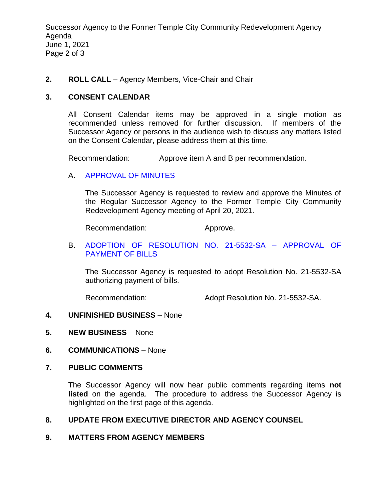Successor Agency to the Former Temple City Community Redevelopment Agency Agenda June 1, 2021 Page 2 of 3

#### **2. ROLL CALL** – Agency Members, Vice-Chair and Chair

#### **3. CONSENT CALENDAR**

All Consent Calendar items may be approved in a single motion as recommended unless removed for further discussion. If members of the Successor Agency or persons in the audience wish to discuss any matters listed on the Consent Calendar, please address them at this time.

Recommendation: Approve item A and B per recommendation.

#### A. [APPROVAL OF MINUTES](https://www.ci.temple-city.ca.us/DocumentCenter/View/16324/09-3A_SAM--2021-04-20)

The Successor Agency is requested to review and approve the Minutes of the Regular Successor Agency to the Former Temple City Community Redevelopment Agency meeting of April 20, 2021.

Recommendation: Approve.

#### B. [ADOPTION OF RESOLUTION NO. 21-5532-SA –](https://www.ci.temple-city.ca.us/DocumentCenter/View/16325/10-3B_Reso-No-21-5532-SA-60121---Warrants--Demands-FY-2020-21) APPROVAL OF [PAYMENT OF BILLS](https://www.ci.temple-city.ca.us/DocumentCenter/View/16325/10-3B_Reso-No-21-5532-SA-60121---Warrants--Demands-FY-2020-21)

The Successor Agency is requested to adopt Resolution No. 21-5532-SA authorizing payment of bills.

Recommendation: Adopt Resolution No. 21-5532-SA.

#### **4. UNFINISHED BUSINESS** – None

- **5. NEW BUSINESS** None
- **6. COMMUNICATIONS** None

#### **7. PUBLIC COMMENTS**

The Successor Agency will now hear public comments regarding items **not listed** on the agenda. The procedure to address the Successor Agency is highlighted on the first page of this agenda.

#### **8. UPDATE FROM EXECUTIVE DIRECTOR AND AGENCY COUNSEL**

#### **9. MATTERS FROM AGENCY MEMBERS**